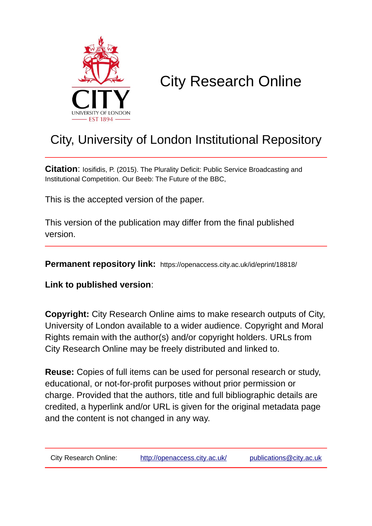

## City Research Online

## City, University of London Institutional Repository

**Citation**: Iosifidis, P. (2015). The Plurality Deficit: Public Service Broadcasting and Institutional Competition. Our Beeb: The Future of the BBC,

This is the accepted version of the paper.

This version of the publication may differ from the final published version.

**Permanent repository link:** https://openaccess.city.ac.uk/id/eprint/18818/

**Link to published version**:

**Copyright:** City Research Online aims to make research outputs of City, University of London available to a wider audience. Copyright and Moral Rights remain with the author(s) and/or copyright holders. URLs from City Research Online may be freely distributed and linked to.

**Reuse:** Copies of full items can be used for personal research or study, educational, or not-for-profit purposes without prior permission or charge. Provided that the authors, title and full bibliographic details are credited, a hyperlink and/or URL is given for the original metadata page and the content is not changed in any way.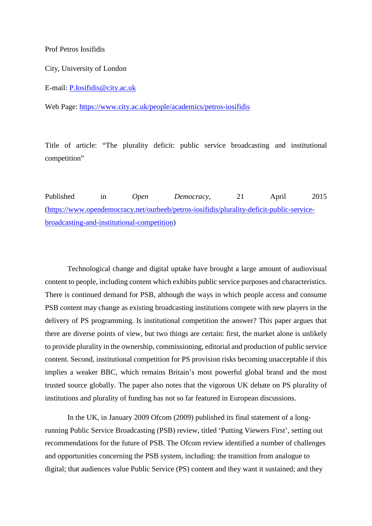Prof Petros Iosifidis

City, University of London

E-mail: [P.Iosifidis@city.ac.uk](mailto:P.Iosifidis@city.ac.uk)

Web Page:<https://www.city.ac.uk/people/academics/petros-iosifidis>

Title of article: "The plurality deficit: public service broadcasting and institutional competition"

Published in *Open Democracy*, 21 April 2015 [\(https://www.opendemocracy.net/ourbeeb/petros-iosifidis/plurality-deficit-public-service](https://www.opendemocracy.net/ourbeeb/petros-iosifidis/plurality-deficit-public-service-broadcasting-and-institutional-competition)[broadcasting-and-institutional-competition\)](https://www.opendemocracy.net/ourbeeb/petros-iosifidis/plurality-deficit-public-service-broadcasting-and-institutional-competition)

Technological change and digital uptake have brought a large amount of audiovisual content to people, including content which exhibits public service purposes and characteristics. There is continued demand for PSB, although the ways in which people access and consume PSB content may change as existing broadcasting institutions compete with new players in the delivery of PS programming. Is institutional competition the answer? This paper argues that there are diverse points of view, but two things are certain: first, the market alone is unlikely to provide plurality in the ownership, commissioning, editorial and production of public service content. Second, institutional competition for PS provision risks becoming unacceptable if this implies a weaker BBC, which remains Britain's most powerful global brand and the most trusted source globally. The paper also notes that the vigorous UK debate on PS plurality of institutions and plurality of funding has not so far featured in European discussions.

In the UK, in January 2009 Ofcom (2009) published its final statement of a longrunning Public Service Broadcasting (PSB) review, titled 'Putting Viewers First', setting out recommendations for the future of PSB. The Ofcom review identified a number of challenges and opportunities concerning the PSB system, including: the transition from analogue to digital; that audiences value Public Service (PS) content and they want it sustained; and they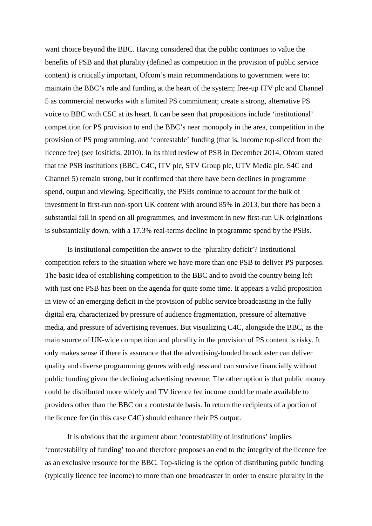want choice beyond the BBC. Having considered that the public continues to value the benefits of PSB and that plurality (defined as competition in the provision of public service content) is critically important, Ofcom's main recommendations to government were to: maintain the BBC's role and funding at the heart of the system; free-up ITV plc and Channel 5 as commercial networks with a limited PS commitment; create a strong, alternative PS voice to BBC with C5C at its heart. It can be seen that propositions include 'institutional' competition for PS provision to end the BBC's near monopoly in the area, competition in the provision of PS programming, and 'contestable' funding (that is, income top-sliced from the licence fee) (see Iosifidis, 2010). In its third review of PSB in December 2014, Ofcom stated that the PSB institutions (BBC, C4C, ITV plc, STV Group plc, UTV Media plc, S4C and Channel 5) remain strong, but it confirmed that there have been declines in programme spend, output and viewing. Specifically, the PSBs continue to account for the bulk of investment in first-run non-sport UK content with around 85% in 2013, but there has been a substantial fall in spend on all programmes, and investment in new first-run UK originations is substantially down, with a 17.3% real-terms decline in programme spend by the PSBs.

Is institutional competition the answer to the 'plurality deficit'? Institutional competition refers to the situation where we have more than one PSB to deliver PS purposes. The basic idea of establishing competition to the BBC and to avoid the country being left with just one PSB has been on the agenda for quite some time. It appears a valid proposition in view of an emerging deficit in the provision of public service broadcasting in the fully digital era, characterized by pressure of audience fragmentation, pressure of alternative media, and pressure of advertising revenues. But visualizing C4C, alongside the BBC, as the main source of UK-wide competition and plurality in the provision of PS content is risky. It only makes sense if there is assurance that the advertising-funded broadcaster can deliver quality and diverse programming genres with edginess and can survive financially without public funding given the declining advertising revenue. The other option is that public money could be distributed more widely and TV licence fee income could be made available to providers other than the BBC on a contestable basis. In return the recipients of a portion of the licence fee (in this case C4C) should enhance their PS output.

It is obvious that the argument about 'contestability of institutions' implies 'contestability of funding' too and therefore proposes an end to the integrity of the licence fee as an exclusive resource for the BBC. Top-slicing is the option of distributing public funding (typically licence fee income) to more than one broadcaster in order to ensure plurality in the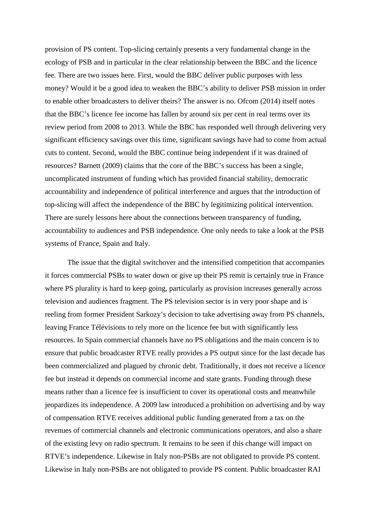provision of PS content. Top-slicing certainly presents a very fundamental change in the ecology of PSB and in particular in the clear relationship between the BBC and the licence fee. There are two issues here. First, would the BBC deliver public purposes with less money? Would it be a good idea to weaken the BBC's ability to deliver PSB mission in order to enable other broadcasters to deliver theirs? The answer is no. Ofcom (2014) itself notes that the BBC's licence fee income has fallen by around six per cent in real terms over its review period from 2008 to 2013. While the BBC has responded well through delivering very significant efficiency savings over this time, significant savings have had to come from actual cuts to content. Second, would the BBC continue being independent if it was drained of resources? Barnett (2009) claims that the core of the BBC's success has been a single, uncomplicated instrument of funding which has provided financial stability, democratic accountability and independence of political interference and argues that the introduction of top-slicing will affect the independence of the BBC by legitimizing political intervention. There are surely lessons here about the connections between transparency of funding, accountability to audiences and PSB independence. One only needs to take a look at the PSB systems of France, Spain and Italy.

The issue that the digital switchover and the intensified competition that accompanies it forces commercial PSBs to water down or give up their PS remit is certainly true in France where PS plurality is hard to keep going, particularly as provision increases generally across television and audiences fragment. The PS television sector is in very poor shape and is reeling from former President Sarkozy's decision to take advertising away from PS channels, leaving France Télévisions to rely more on the licence fee but with significantly less resources. In Spain commercial channels have no PS obligations and the main concern is to ensure that public broadcaster RTVE really provides a PS output since for the last decade has been commercialized and plagued by chronic debt. Traditionally, it does not receive a licence fee but instead it depends on commercial income and state grants. Funding through these means rather than a licence fee is insufficient to cover its operational costs and meanwhile jeopardizes its independence. A 2009 law introduced a prohibition on advertising and by way of compensation RTVE receives additional public funding generated from a tax on the revenues of commercial channels and electronic communications operators, and also a share of the existing levy on radio spectrum. It remains to be seen if this change will impact on RTVE's independence. Likewise in Italy non-PSBs are not obligated to provide PS content. Likewise in Italy non-PSBs are not obligated to provide PS content. Public broadcaster RAI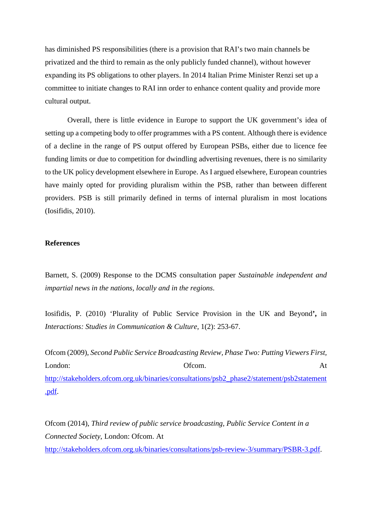has diminished PS responsibilities (there is a provision that RAI's two main channels be privatized and the third to remain as the only publicly funded channel), without however expanding its PS obligations to other players. In 2014 Italian Prime Minister Renzi set up a committee to initiate changes to RAI inn order to enhance content quality and provide more cultural output.

Overall, there is little evidence in Europe to support the UK government's idea of setting up a competing body to offer programmes with a PS content. Although there is evidence of a decline in the range of PS output offered by European PSBs, either due to licence fee funding limits or due to competition for dwindling advertising revenues, there is no similarity to the UK policy development elsewhere in Europe. As I argued elsewhere, European countries have mainly opted for providing pluralism within the PSB, rather than between different providers. PSB is still primarily defined in terms of internal pluralism in most locations (Iosifidis, 2010).

## **References**

Barnett, S. (2009) Response to the DCMS consultation paper *Sustainable independent and impartial news in the nations, locally and in the regions*.

Iosifidis, P. (2010) 'Plurality of Public Service Provision in the UK and Beyond**',** in *Interactions: Studies in Communication & Culture*, 1(2): 253-67.

Ofcom (2009), *Second Public Service Broadcasting Review, Phase Two: Putting Viewers First,* London: Chambridge Come Chambridge Come Chambridge Chambridge Chambridge Chambridge Chambridge Chambridge Chambridge Chambridge Chambridge Chambridge Chambridge Chambridge Chambridge Chambridge Chambridge Chambridge Chambr [http://stakeholders.ofcom.org.uk/binaries/consultations/psb2\\_phase2/statement/psb2statement](http://stakeholders.ofcom.org.uk/binaries/consultations/psb2_phase2/statement/psb2statement.pdf) [.pdf.](http://stakeholders.ofcom.org.uk/binaries/consultations/psb2_phase2/statement/psb2statement.pdf)

Ofcom (2014), *Third review of public service broadcasting, Public Service Content in a Connected Society*, London: Ofcom. At [http://stakeholders.ofcom.org.uk/binaries/consultations/psb-review-3/summary/PSBR-3.pdf.](http://stakeholders.ofcom.org.uk/binaries/consultations/psb-review-3/summary/PSBR-3.pdf)